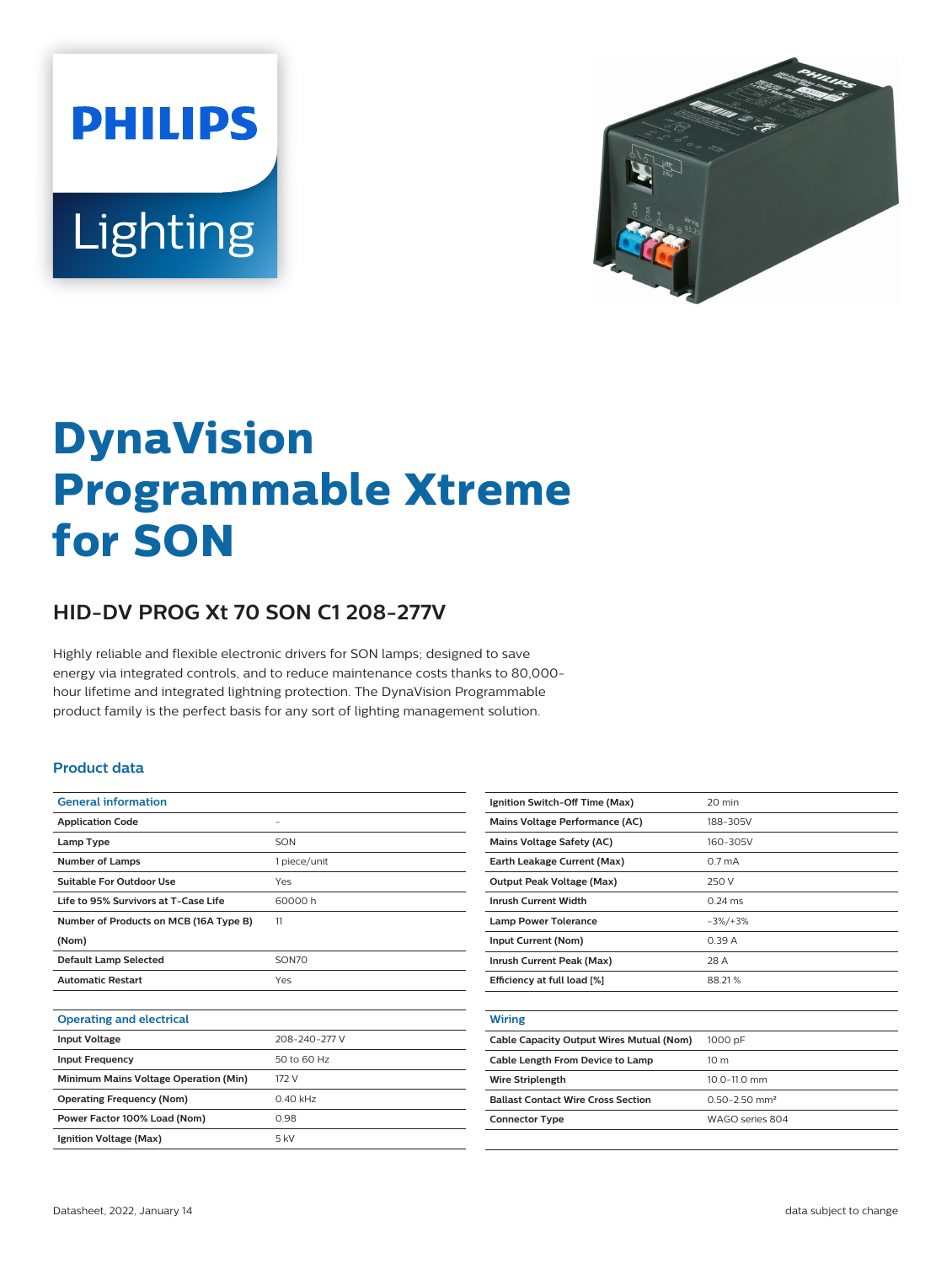



# **DynaVision Programmable Xtreme for SON**

## **HID-DV PROG Xt 70 SON C1 208-277V**

Highly reliable and flexible electronic drivers for SON lamps; designed to save energy via integrated controls, and to reduce maintenance costs thanks to 80,000 hour lifetime and integrated lightning protection. The DynaVision Programmable product family is the perfect basis for any sort of lighting management solution.

#### **Product data**

| <b>General information</b>             |               |  |  |
|----------------------------------------|---------------|--|--|
| <b>Application Code</b>                | -             |  |  |
| Lamp Type                              | SON           |  |  |
| <b>Number of Lamps</b>                 | 1 piece/unit  |  |  |
| Suitable For Outdoor Use               | Yes           |  |  |
| Life to 95% Survivors at T-Case Life   | 60000h        |  |  |
| Number of Products on MCB (16A Type B) | 11            |  |  |
| (Nom)                                  |               |  |  |
| <b>Default Lamp Selected</b>           | SON70         |  |  |
|                                        |               |  |  |
| <b>Automatic Restart</b>               | Yes           |  |  |
|                                        |               |  |  |
| <b>Operating and electrical</b>        |               |  |  |
| <b>Input Voltage</b>                   | 208-240-277 V |  |  |
| <b>Input Frequency</b>                 | 50 to 60 Hz   |  |  |
| Minimum Mains Voltage Operation (Min)  | 172 V         |  |  |
| <b>Operating Frequency (Nom)</b>       | $0.40$ kHz    |  |  |
| Power Factor 100% Load (Nom)           | 0.98          |  |  |
| Ignition Voltage (Max)                 | 5 kV          |  |  |

| Ignition Switch-Off Time (Max)            | 20 min                        |
|-------------------------------------------|-------------------------------|
| Mains Voltage Performance (AC)            | 188-305V                      |
| Mains Voltage Safety (AC)                 | 160-305V                      |
| Earth Leakage Current (Max)               | 0.7 <sub>mA</sub>             |
| <b>Output Peak Voltage (Max)</b>          | 250 V                         |
| <b>Inrush Current Width</b>               | $0.24$ ms                     |
| <b>Lamp Power Tolerance</b>               | $-3\%/+3\%$                   |
| Input Current (Nom)                       | 0.39A                         |
| Inrush Current Peak (Max)                 | 28 A                          |
| Efficiency at full load [%]               | 88.21%                        |
|                                           |                               |
| <b>Wiring</b>                             |                               |
| Cable Capacity Output Wires Mutual (Nom)  | 1000 pF                       |
| Cable Length From Device to Lamp          | 10 <sub>m</sub>               |
| <b>Wire Striplength</b>                   | $10.0 - 11.0$ mm              |
| <b>Ballast Contact Wire Cross Section</b> | $0.50 - 2.50$ mm <sup>2</sup> |
| <b>Connector Type</b>                     | WAGO series 804               |
|                                           |                               |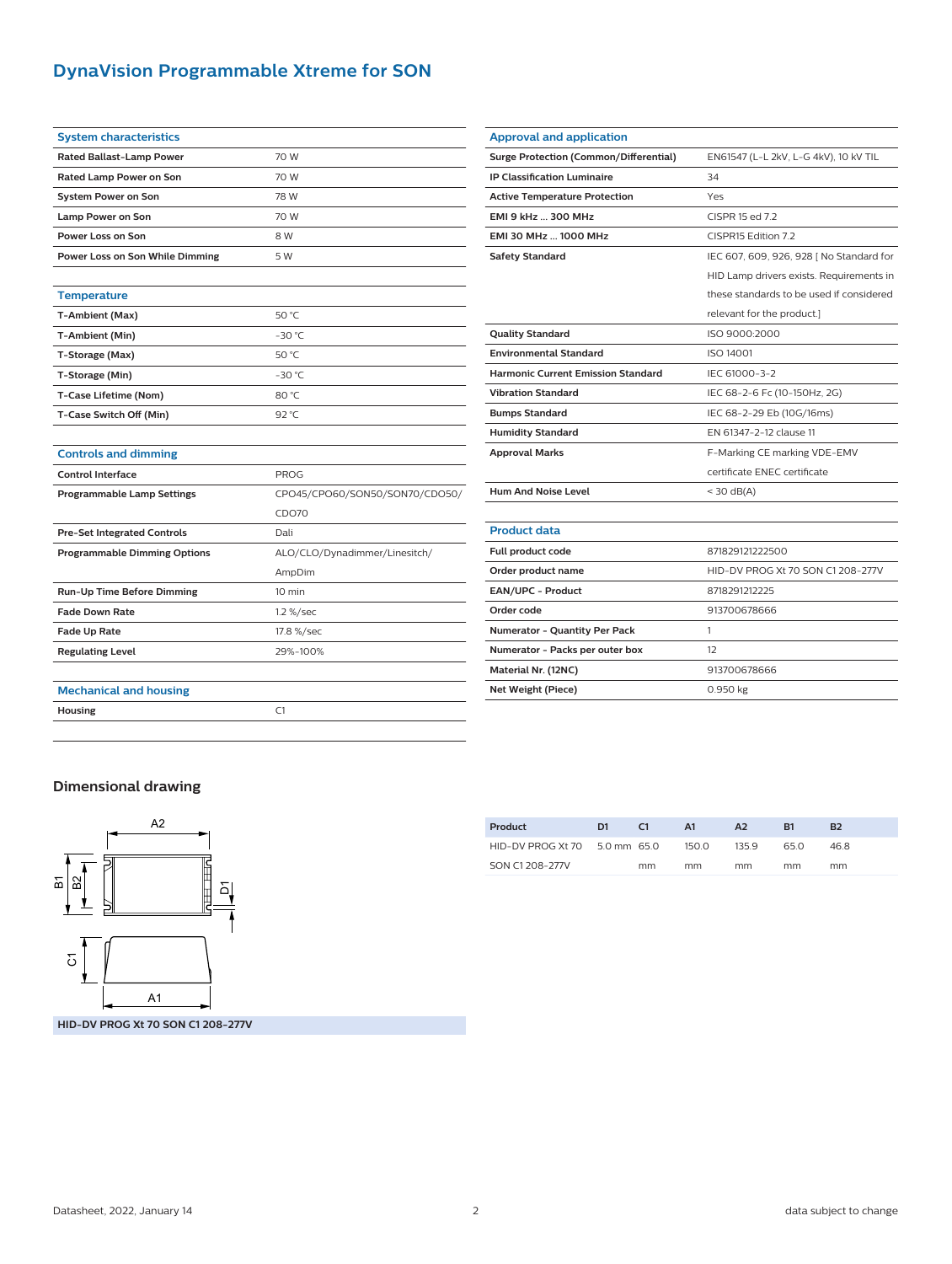## **DynaVision Programmable Xtreme for SON**

| <b>System characteristics</b>       |                                |  |  |  |  |
|-------------------------------------|--------------------------------|--|--|--|--|
| <b>Rated Ballast-Lamp Power</b>     | 70 W                           |  |  |  |  |
| Rated Lamp Power on Son             | 70 W                           |  |  |  |  |
| <b>System Power on Son</b>          | 78 W                           |  |  |  |  |
| Lamp Power on Son                   | 70 W                           |  |  |  |  |
| Power Loss on Son                   | 8 W                            |  |  |  |  |
| Power Loss on Son While Dimming     | 5 W                            |  |  |  |  |
|                                     |                                |  |  |  |  |
| <b>Temperature</b>                  |                                |  |  |  |  |
| T-Ambient (Max)                     | 50 °C                          |  |  |  |  |
| T-Ambient (Min)                     | $-30$ °C                       |  |  |  |  |
| T-Storage (Max)                     | 50 °C                          |  |  |  |  |
| T-Storage (Min)                     | $-30$ °C                       |  |  |  |  |
| T-Case Lifetime (Nom)               | 80 °C                          |  |  |  |  |
| T-Case Switch Off (Min)             | 92 °C                          |  |  |  |  |
|                                     |                                |  |  |  |  |
| <b>Controls and dimming</b>         |                                |  |  |  |  |
| <b>Control Interface</b>            | <b>PROG</b>                    |  |  |  |  |
| <b>Programmable Lamp Settings</b>   | CPO45/CPO60/SON50/SON70/CDO50/ |  |  |  |  |
|                                     | CDO70                          |  |  |  |  |
| <b>Pre-Set Integrated Controls</b>  | Dali                           |  |  |  |  |
| <b>Programmable Dimming Options</b> | ALO/CLO/Dynadimmer/Linesitch/  |  |  |  |  |
|                                     | AmpDim                         |  |  |  |  |
| <b>Run-Up Time Before Dimming</b>   | 10 min                         |  |  |  |  |
| <b>Fade Down Rate</b>               | 1.2 %/sec                      |  |  |  |  |
| Fade Up Rate                        | 17.8 %/sec                     |  |  |  |  |
| <b>Regulating Level</b>             | 29%-100%                       |  |  |  |  |
|                                     |                                |  |  |  |  |
| <b>Mechanical and housing</b>       |                                |  |  |  |  |
| Housing                             | C1                             |  |  |  |  |
|                                     |                                |  |  |  |  |

| <b>Approval and application</b>               |                                          |  |  |  |
|-----------------------------------------------|------------------------------------------|--|--|--|
| <b>Surge Protection (Common/Differential)</b> | EN61547 (L-L 2kV, L-G 4kV), 10 kV TIL    |  |  |  |
| <b>IP Classification Luminaire</b>            | 34                                       |  |  |  |
| <b>Active Temperature Protection</b>          | Yes                                      |  |  |  |
| EMI 9 kHz  300 MHz                            | CISPR 15 ed 7.2                          |  |  |  |
| EMI 30 MHz  1000 MHz                          | CISPR15 Edition 7.2                      |  |  |  |
| <b>Safety Standard</b>                        | IEC 607, 609, 926, 928   No Standard for |  |  |  |
|                                               | HID Lamp drivers exists. Requirements in |  |  |  |
|                                               | these standards to be used if considered |  |  |  |
|                                               | relevant for the product.]               |  |  |  |
| <b>Quality Standard</b>                       | ISO 9000:2000                            |  |  |  |
| <b>Environmental Standard</b>                 | <b>ISO 14001</b>                         |  |  |  |
| <b>Harmonic Current Emission Standard</b>     | IEC 61000-3-2                            |  |  |  |
| <b>Vibration Standard</b>                     | IEC 68-2-6 Fc (10-150Hz, 2G)             |  |  |  |
| <b>Bumps Standard</b>                         | IEC 68-2-29 Eb (10G/16ms)                |  |  |  |
| <b>Humidity Standard</b>                      | EN 61347-2-12 clause 11                  |  |  |  |
| <b>Approval Marks</b>                         | F-Marking CE marking VDE-EMV             |  |  |  |
|                                               | certificate ENEC certificate             |  |  |  |
| <b>Hum And Noise Level</b>                    | $<$ 30 dB(A)                             |  |  |  |
|                                               |                                          |  |  |  |
| <b>Product data</b>                           |                                          |  |  |  |
| Full product code                             | 871829121222500                          |  |  |  |
| Order product name                            | HID-DV PROG Xt 70 SON C1 208-277V        |  |  |  |
| <b>EAN/UPC - Product</b>                      | 8718291212225                            |  |  |  |
| Order code                                    | 913700678666                             |  |  |  |
| Numerator - Quantity Per Pack                 | 1                                        |  |  |  |
| Numerator - Packs per outer box               | 12                                       |  |  |  |
| Material Nr. (12NC)                           | 913700678666                             |  |  |  |
| Net Weight (Piece)                            | 0.950 kg                                 |  |  |  |

### **Dimensional drawing**



| Product                       | D <sub>1</sub> | C1 | A1    | A <sub>2</sub> | R1   | B <sub>2</sub> |
|-------------------------------|----------------|----|-------|----------------|------|----------------|
| HID-DV PROG Xt 70 5.0 mm 65.0 |                |    | 150.0 | 135.9          | 65 O | 46.8           |
| SON C1 208-277V               |                | mm | mm    | mm             | mm   | mm             |